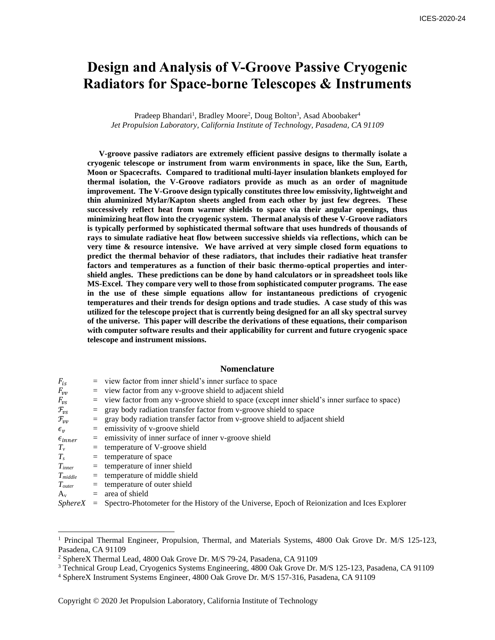# **Design and Analysis of V-Groove Passive Cryogenic Radiators for Space-borne Telescopes & Instruments**

Pradeep Bhandari<sup>1</sup>, Bradley Moore<sup>2</sup>, Doug Bolton<sup>3</sup>, Asad Aboobaker<sup>4</sup> *Jet Propulsion Laboratory, California Institute of Technology, Pasadena, CA 91109*

**V-groove passive radiators are extremely efficient passive designs to thermally isolate a cryogenic telescope or instrument from warm environments in space, like the Sun, Earth, Moon or Spacecrafts. Compared to traditional multi-layer insulation blankets employed for thermal isolation, the V-Groove radiators provide as much as an order of magnitude improvement. The V-Groove design typically constitutes three low emissivity, lightweight and thin aluminized Mylar/Kapton sheets angled from each other by just few degrees. These successively reflect heat from warmer shields to space via their angular openings, thus minimizing heat flow into the cryogenic system. Thermal analysis of these V-Groove radiators is typically performed by sophisticated thermal software that uses hundreds of thousands of rays to simulate radiative heat flow between successive shields via reflections, which can be very time & resource intensive. We have arrived at very simple closed form equations to predict the thermal behavior of these radiators, that includes their radiative heat transfer factors and temperatures as a function of their basic thermo-optical properties and intershield angles. These predictions can be done by hand calculators or in spreadsheet tools like MS-Excel. They compare very well to those from sophisticated computer programs. The ease in the use of these simple equations allow for instantaneous predictions of cryogenic temperatures and their trends for design options and trade studies. A case study of this was utilized for the telescope project that is currently being designed for an all sky spectral survey of the universe. This paper will describe the derivations of these equations, their comparison with computer software results and their applicability for current and future cryogenic space telescope and instrument missions.**

# **Nomenclature**

| $F_{is}$               |  | $=$ view factor from inner shield's inner surface to space                                                    |
|------------------------|--|---------------------------------------------------------------------------------------------------------------|
| $F_{vv}$               |  | $=$ view factor from any v-groove shield to adjacent shield                                                   |
| $F_{\nu s}$            |  | = view factor from any v-groove shield to space (except inner shield's inner surface to space)                |
| $\mathcal{F}_{\nu s}$  |  | $=$ gray body radiation transfer factor from v-groove shield to space                                         |
| $\mathcal{F}_{\nu\nu}$ |  | $=$ gray body radiation transfer factor from v-groove shield to adjacent shield                               |
| $\epsilon_{\nu}$       |  | $=$ emissivity of v-groove shield                                                                             |
| $\epsilon_{inner}$     |  | $=$ emissivity of inner surface of inner v-groove shield                                                      |
| $T_{v}$                |  | $=$ temperature of V-groove shield                                                                            |
| $T_{s}$                |  | $=$ temperature of space                                                                                      |
| $T_{inner}$            |  | $=$ temperature of inner shield                                                                               |
| $T_{middle}$           |  | $=$ temperature of middle shield                                                                              |
| $T_{outer}$            |  | $=$ temperature of outer shield                                                                               |
| $A_v$                  |  | $=$ area of shield                                                                                            |
| $\alpha$ $\alpha$      |  | . A . Di . A . A . III . A . A . II . II . A . II . II . II . II . II . II . II . II . II . II . II . II . II |

*SphereX* = Spectro-Photometer for the History of the Universe, Epoch of Reionization and Ices Explorer

<sup>1</sup> Principal Thermal Engineer, Propulsion, Thermal, and Materials Systems, 4800 Oak Grove Dr. M/S 125-123, Pasadena, CA 91109

<sup>2</sup> SphereX Thermal Lead, 4800 Oak Grove Dr. M/S 79-24, Pasadena, CA 91109

<sup>3</sup> Technical Group Lead, Cryogenics Systems Engineering, 4800 Oak Grove Dr. M/S 125-123, Pasadena, CA 91109

<sup>4</sup> SphereX Instrument Systems Engineer, 4800 Oak Grove Dr. M/S 157-316, Pasadena, CA 91109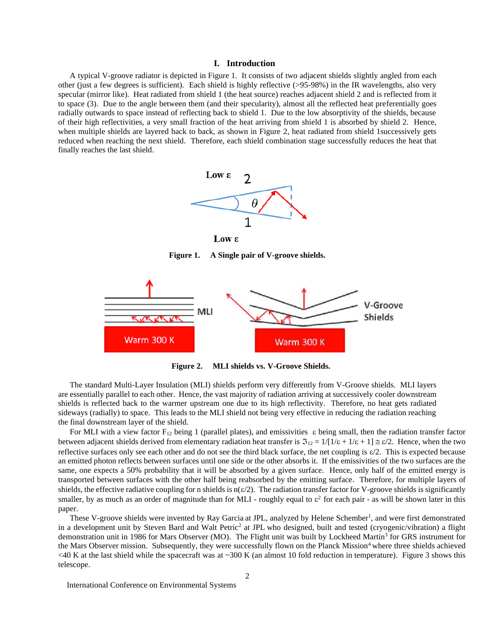# **I. Introduction**

A typical V-groove radiator is depicted in Figure 1. It consists of two adjacent shields slightly angled from each other (just a few degrees is sufficient). Each shield is highly reflective (>95-98%) in the IR wavelengths, also very specular (mirror like). Heat radiated from shield 1 (the heat source) reaches adjacent shield 2 and is reflected from it to space (3). Due to the angle between them (and their specularity), almost all the reflected heat preferentially goes radially outwards to space instead of reflecting back to shield 1. Due to the low absorptivity of the shields, because of their high reflectivities, a very small fraction of the heat arriving from shield 1 is absorbed by shield 2. Hence, when multiple shields are layered back to back, as shown in Figure 2, heat radiated from shield 1successively gets reduced when reaching the next shield. Therefore, each shield combination stage successfully reduces the heat that finally reaches the last shield.



 $Low \epsilon$ 

**Figure 1. A Single pair of V-groove shields.**



**Figure 2. MLI shields vs. V-Groove Shields.**

The standard Multi-Layer Insulation (MLI) shields perform very differently from V-Groove shields. MLI layers are essentially parallel to each other. Hence, the vast majority of radiation arriving at successively cooler downstream shields is reflected back to the warmer upstream one due to its high reflectivity. Therefore, no heat gets radiated sideways (radially) to space. This leads to the MLI shield not being very effective in reducing the radiation reaching the final downstream layer of the shield.

For MLI with a view factor  $F_{12}$  being 1 (parallel plates), and emissivities  $\varepsilon$  being small, then the radiation transfer factor between adjacent shields derived from elementary radiation heat transfer is  $\mathfrak{I}_{12} = 1/[1/\epsilon + 1/\epsilon + 1] \approx \epsilon/2$ . Hence, when the two reflective surfaces only see each other and do not see the third black surface, the net coupling is  $\varepsilon/2$ . This is expected because an emitted photon reflects between surfaces until one side or the other absorbs it. If the emissivities of the two surfaces are the same, one expects a 50% probability that it will be absorbed by a given surface. Hence, only half of the emitted energy is transported between surfaces with the other half being reabsorbed by the emitting surface. Therefore, for multiple layers of shields, the effective radiative coupling for n shields is  $n(\epsilon/2)$ . The radiation transfer factor for V-groove shields is significantly smaller, by as much as an order of magnitude than for MLI - roughly equal to  $\varepsilon^2$  for each pair - as will be shown later in this paper.

These V-groove shields were invented by Ray Garcia at JPL, analyzed by Helene Schember<sup>1</sup>, and were first demonstrated in a development unit by Steven Bard and Walt Petric<sup>2</sup> at JPL who designed, built and tested (cryogenic/vibration) a flight demonstration unit in 1986 for Mars Observer (MO). The Flight unit was built by Lockheed Martin<sup>3</sup> for GRS instrument for the Mars Observer mission. Subsequently, they were successfully flown on the Planck Mission<sup>4</sup> where three shields achieved  $\leq$ 40 K at the last shield while the spacecraft was at  $\sim$ 300 K (an almost 10 fold reduction in temperature). Figure 3 shows this telescope.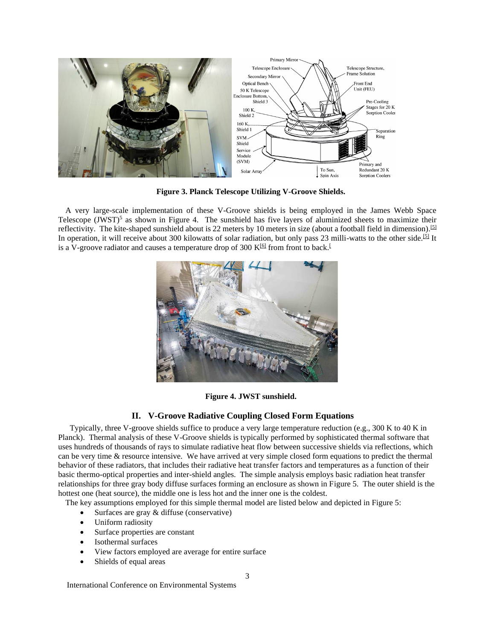

**Figure 3. Planck Telescope Utilizing V-Groove Shields.**

A very large-scale implementation of these V-Groove shields is being employed in the James Webb Space Telescope (JWST)<sup>5</sup> as shown in Figure 4. The sunshield has five layers of aluminized sheets to maximize their reflectivity. The kite-shaped sunshield about is 22 meters by 10 meters in size (about a football field in dimension). [\[5\]](https://en.wikipedia.org/wiki/Sunshield_(JWST)#cite_note-stsci.edu1-5) In operation, it will receive about 300 kilowatts of solar radiation, but only pass 23 milli-watts to the other side.<sup>[\[5\]](https://en.wikipedia.org/wiki/Sunshield_(JWST)#cite_note-stsci.edu1-5)</sup> It is a V-groove radiator and causes a temperature drop of 300 K $6$  from front to back[.](https://en.wikipedia.org/wiki/Sunshield_(JWST)#cite_note-stsci.edu1-5)<sup>[1]</sup>



**Figure 4. JWST sunshield.**

# **II. V-Groove Radiative Coupling Closed Form Equations**

Typically, three V-groove shields suffice to produce a very large temperature reduction (e.g., 300 K to 40 K in Planck). Thermal analysis of these V-Groove shields is typically performed by sophisticated thermal software that uses hundreds of thousands of rays to simulate radiative heat flow between successive shields via reflections, which can be very time & resource intensive. We have arrived at very simple closed form equations to predict the thermal behavior of these radiators, that includes their radiative heat transfer factors and temperatures as a function of their basic thermo-optical properties and inter-shield angles. The simple analysis employs basic radiation heat transfer relationships for three gray body diffuse surfaces forming an enclosure as shown in Figure 5. The outer shield is the hottest one (heat source), the middle one is less hot and the inner one is the coldest.

The key assumptions employed for this simple thermal model are listed below and depicted in Figure 5:

- Surfaces are gray & diffuse (conservative)
- Uniform radiosity
- Surface properties are constant
- Isothermal surfaces
- View factors employed are average for entire surface
- Shields of equal areas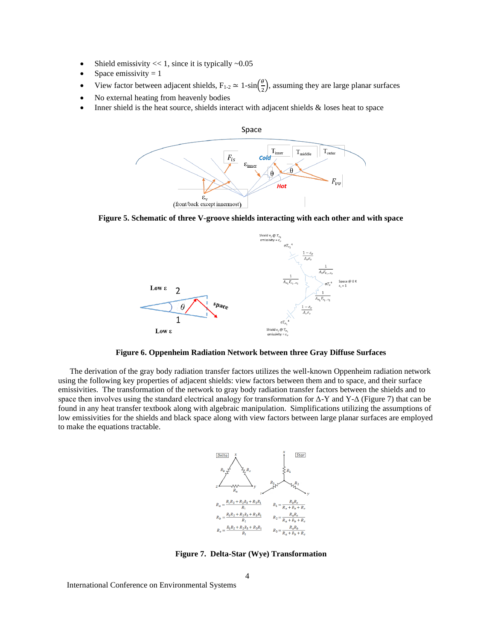- Shield emissivity  $<< 1$ , since it is typically  $~0.05$
- Space emissivity  $= 1$
- View factor between adjacent shields,  $F_{1-2} \simeq 1-\sin\left(\frac{\theta}{2}\right)$  $\frac{6}{2}$ , assuming they are large planar surfaces
- No external heating from heavenly bodies
- Inner shield is the heat source, shields interact with adjacent shields  $\&$  loses heat to space



**Figure 5. Schematic of three V-groove shields interacting with each other and with space**



**Figure 6. Oppenheim Radiation Network between three Gray Diffuse Surfaces**

The derivation of the gray body radiation transfer factors utilizes the well-known Oppenheim radiation network using the following key properties of adjacent shields: view factors between them and to space, and their surface emissivities. The transformation of the network to gray body radiation transfer factors between the shields and to space then involves using the standard electrical analogy for transformation for Δ-Y and Y-Δ (Figure 7) that can be found in any heat transfer textbook along with algebraic manipulation. Simplifications utilizing the assumptions of low emissivities for the shields and black space along with view factors between large planar surfaces are employed to make the equations tractable.



**Figure 7. Delta-Star (Wye) Transformation**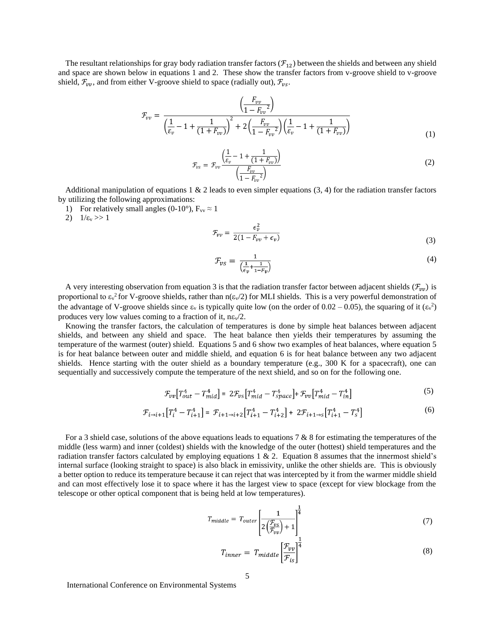The resultant relationships for gray body radiation transfer factors  $(\mathcal{F}_{12})$  between the shields and between any shield and space are shown below in equations 1 and 2. These show the transfer factors from v-groove shield to v-groove shield,  $\mathcal{F}_{vv}$ , and from either V-groove shield to space (radially out),  $\mathcal{F}_{vs}$ .

$$
\mathcal{F}_{vv} = \frac{\left(\frac{F_{vv}}{1 - F_{vv}^2}\right)}{\left(\frac{1}{\varepsilon_v} - 1 + \frac{1}{(1 + F_{vv})}\right)^2 + 2\left(\frac{F_{vv}}{1 - F_{vv}^2}\right)\left(\frac{1}{\varepsilon_v} - 1 + \frac{1}{(1 + F_{vv})}\right)}
$$
(1)

$$
\mathcal{F}_{vs} = \mathcal{F}_{vv} \frac{\left(\frac{1}{\varepsilon_v} - 1 + \frac{1}{(1 + F_{vv})}\right)}{\left(\frac{F_{vv}}{1 - F_{vv}}\right)}
$$
(2)

Additional manipulation of equations  $1 \& 2$  leads to even simpler equations  $(3, 4)$  for the radiation transfer factors by utilizing the following approximations:

- 1) For relatively small angles (0-10°),  $F_{vv} \approx 1$
- 2)  $1/\varepsilon_v >> 1$

$$
\mathcal{F}_{\nu\nu} = \frac{\epsilon_{\nu}^2}{2(1 - F_{\nu\nu} + \epsilon_{\nu})}
$$
\n(3)

$$
\mathcal{F}_{\nu s} = \frac{1}{\left(\frac{1}{\epsilon_{\nu}} + \frac{1}{1 - F_{\nu}}\right)}\tag{4}
$$

A very interesting observation from equation 3 is that the radiation transfer factor between adjacent shields ( $\mathcal{F}_{vv}$ ) is proportional to  $\varepsilon_v^2$  for V-groove shields, rather than  $n(\varepsilon_v/2)$  for MLI shields. This is a very powerful demonstration of the advantage of V-groove shields since  $\varepsilon_v$  is typically quite low (on the order of 0.02 – 0.05), the squaring of it  $(\varepsilon_v^2)$ produces very low values coming to a fraction of it,  $n\epsilon \sqrt{2}$ .

Knowing the transfer factors, the calculation of temperatures is done by simple heat balances between adjacent shields, and between any shield and space. The heat balance then yields their temperatures by assuming the temperature of the warmest (outer) shield. Equations 5 and 6 show two examples of heat balances, where equation 5 is for heat balance between outer and middle shield, and equation 6 is for heat balance between any two adjacent shields. Hence starting with the outer shield as a boundary temperature (e.g., 300 K for a spacecraft), one can sequentially and successively compute the temperature of the next shield, and so on for the following one.

$$
\mathcal{F}_{vv}[T_{out}^4 - T_{mid}^4] = 2\mathcal{F}_{vs}[T_{mid}^4 - T_{space}^4] + \mathcal{F}_{vv}[T_{mid}^4 - T_{in}^4]
$$
\n(5)

$$
\mathcal{F}_{i \to i+1} \left[ T_i^4 - T_{i+1}^4 \right] = \mathcal{F}_{i+1 \to i+2} \left[ T_{i+1}^4 - T_{i+2}^4 \right] + 2\mathcal{F}_{i+1 \to s} \left[ T_{i+1}^4 - T_s^4 \right] \tag{6}
$$

For a 3 shield case, solutions of the above equations leads to equations 7 & 8 for estimating the temperatures of the middle (less warm) and inner (coldest) shields with the knowledge of the outer (hottest) shield temperatures and the radiation transfer factors calculated by employing equations  $1 \& 2$ . Equation 8 assumes that the innermost shield's internal surface (looking straight to space) is also black in emissivity, unlike the other shields are. This is obviously a better option to reduce its temperature because it can reject that was intercepted by it from the warmer middle shield and can most effectively lose it to space where it has the largest view to space (except for view blockage from the telescope or other optical component that is being held at low temperatures).

$$
T_{middle} = T_{outer} \left[ \frac{1}{2 \left( \frac{\mathcal{F}_{vs}}{\mathcal{F}_{vv}} \right) + 1} \right]^{\frac{1}{4}} \tag{7}
$$

$$
T_{inner} = T_{middle} \left[ \frac{\mathcal{F}_{vv}}{\mathcal{F}_{is}} \right]^{\frac{1}{4}}
$$
\n(8)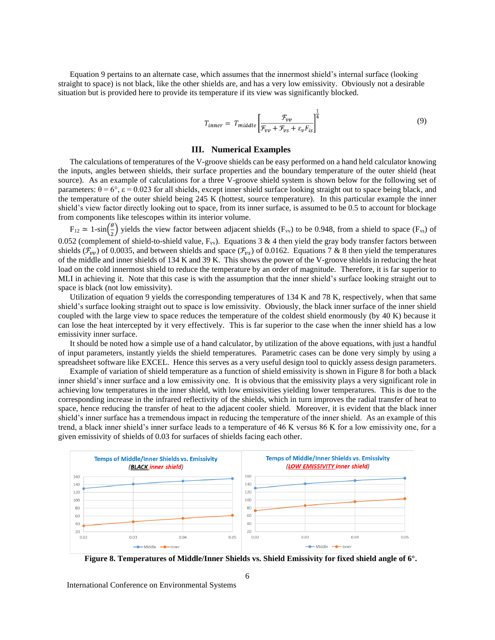Equation 9 pertains to an alternate case, which assumes that the innermost shield's internal surface (looking straight to space) is not black, like the other shields are, and has a very low emissivity. Obviously not a desirable situation but is provided here to provide its temperature if its view was significantly blocked.

$$
T_{inner} = T_{middle} \left[ \frac{\mathcal{F}_{vv}}{\mathcal{F}_{vv} + \mathcal{F}_{vs} + \varepsilon_v F_{is}} \right]^{\frac{1}{4}}
$$
(9)

#### **III. Numerical Examples**

The calculations of temperatures of the V-groove shields can be easy performed on a hand held calculator knowing the inputs, angles between shields, their surface properties and the boundary temperature of the outer shield (heat source). As an example of calculations for a three V-groove shield system is shown below for the following set of parameters:  $\theta = 6^\circ$ ,  $\varepsilon = 0.023$  for all shields, except inner shield surface looking straight out to space being black, and the temperature of the outer shield being 245 K (hottest, source temperature). In this particular example the inner shield's view factor directly looking out to space, from its inner surface, is assumed to be 0.5 to account for blockage from components like telescopes within its interior volume.

 $F_{12} \simeq 1-\sin\left(\frac{\theta}{2}\right)$  $\frac{1}{2}$ ) yields the view factor between adjacent shields (F<sub>vv</sub>) to be 0.948, from a shield to space (F<sub>vs</sub>) of 0.052 (complement of shield-to-shield value,  $F_{vv}$ ). Equations 3 & 4 then yield the gray body transfer factors between shields ( $\mathcal{F}_{vv}$ ) of 0.0035, and between shields and space ( $\mathcal{F}_{vs}$ ) of 0.0162. Equations 7 & 8 then yield the temperatures of the middle and inner shields of 134 K and 39 K. This shows the power of the V-groove shields in reducing the heat load on the cold innermost shield to reduce the temperature by an order of magnitude. Therefore, it is far superior to MLI in achieving it. Note that this case is with the assumption that the inner shield's surface looking straight out to space is black (not low emissivity).

Utilization of equation 9 yields the corresponding temperatures of 134 K and 78 K, respectively, when that same shield's surface looking straight out to space is low emissivity. Obviously, the black inner surface of the inner shield coupled with the large view to space reduces the temperature of the coldest shield enormously (by 40 K) because it can lose the heat intercepted by it very effectively. This is far superior to the case when the inner shield has a low emissivity inner surface.

It should be noted how a simple use of a hand calculator, by utilization of the above equations, with just a handful of input parameters, instantly yields the shield temperatures. Parametric cases can be done very simply by using a spreadsheet software like EXCEL. Hence this serves as a very useful design tool to quickly assess design parameters.

Example of variation of shield temperature as a function of shield emissivity is shown in Figure 8 for both a black inner shield's inner surface and a low emissivity one. It is obvious that the emissivity plays a very significant role in achieving low temperatures in the inner shield, with low emissivities yielding lower temperatures. This is due to the corresponding increase in the infrared reflectivity of the shields, which in turn improves the radial transfer of heat to space, hence reducing the transfer of heat to the adjacent cooler shield. Moreover, it is evident that the black inner shield's inner surface has a tremendous impact in reducing the temperature of the inner shield. As an example of this trend, a black inner shield's inner surface leads to a temperature of 46 K versus 86 K for a low emissivity one, for a given emissivity of shields of 0.03 for surfaces of shields facing each other.



**Figure 8. Temperatures of Middle/Inner Shields vs. Shield Emissivity for fixed shield angle of 6°.**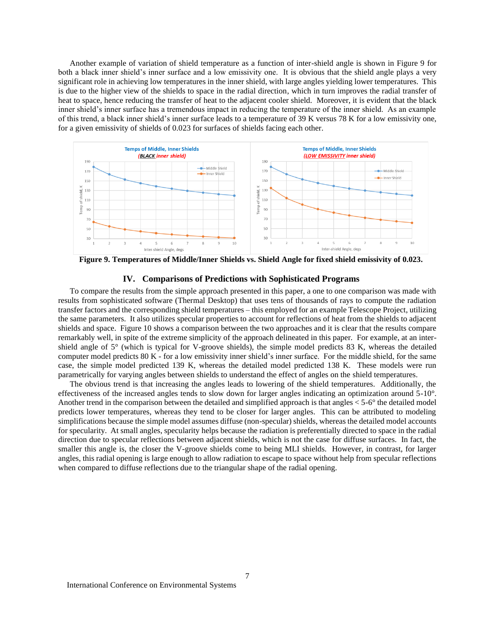Another example of variation of shield temperature as a function of inter-shield angle is shown in Figure 9 for both a black inner shield's inner surface and a low emissivity one. It is obvious that the shield angle plays a very significant role in achieving low temperatures in the inner shield, with large angles yielding lower temperatures. This is due to the higher view of the shields to space in the radial direction, which in turn improves the radial transfer of heat to space, hence reducing the transfer of heat to the adjacent cooler shield. Moreover, it is evident that the black inner shield's inner surface has a tremendous impact in reducing the temperature of the inner shield. As an example of this trend, a black inner shield's inner surface leads to a temperature of 39 K versus 78 K for a low emissivity one, for a given emissivity of shields of 0.023 for surfaces of shields facing each other.



**Figure 9. Temperatures of Middle/Inner Shields vs. Shield Angle for fixed shield emissivity of 0.023.**

# **IV. Comparisons of Predictions with Sophisticated Programs**

To compare the results from the simple approach presented in this paper, a one to one comparison was made with results from sophisticated software (Thermal Desktop) that uses tens of thousands of rays to compute the radiation transfer factors and the corresponding shield temperatures – this employed for an example Telescope Project, utilizing the same parameters. It also utilizes specular properties to account for reflections of heat from the shields to adjacent shields and space. Figure 10 shows a comparison between the two approaches and it is clear that the results compare remarkably well, in spite of the extreme simplicity of the approach delineated in this paper. For example, at an intershield angle of 5° (which is typical for V-groove shields), the simple model predicts 83 K, whereas the detailed computer model predicts 80 K - for a low emissivity inner shield's inner surface. For the middle shield, for the same case, the simple model predicted 139 K, whereas the detailed model predicted 138 K. These models were run parametrically for varying angles between shields to understand the effect of angles on the shield temperatures.

The obvious trend is that increasing the angles leads to lowering of the shield temperatures. Additionally, the effectiveness of the increased angles tends to slow down for larger angles indicating an optimization around 5-10°. Another trend in the comparison between the detailed and simplified approach is that angles < 5-6° the detailed model predicts lower temperatures, whereas they tend to be closer for larger angles. This can be attributed to modeling simplifications because the simple model assumes diffuse (non-specular) shields, whereas the detailed model accounts for specularity. At small angles, specularity helps because the radiation is preferentially directed to space in the radial direction due to specular reflections between adjacent shields, which is not the case for diffuse surfaces. In fact, the smaller this angle is, the closer the V-groove shields come to being MLI shields. However, in contrast, for larger angles, this radial opening is large enough to allow radiation to escape to space without help from specular reflections when compared to diffuse reflections due to the triangular shape of the radial opening.